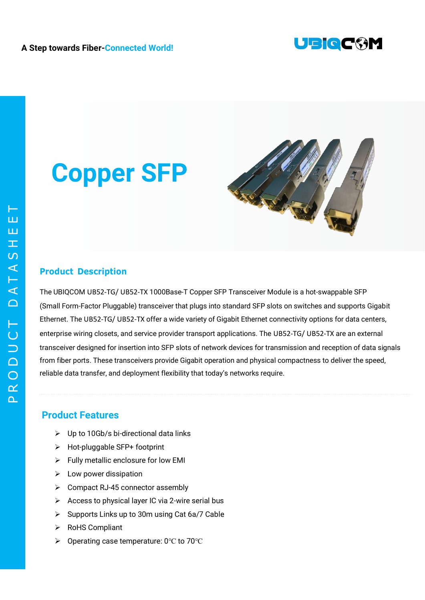



# **Copper SFP**

#### **Product Description**

The UBIQCOM UB52-TG/ UB52-TX 1000Base-T Copper SFP Transceiver Module is a hot-swappable SFP (Small Form-Factor Pluggable) transceiver that plugs into standard SFP slots on switches and supports Gigabit Ethernet. The UB52-TG/ UB52-TX offer a wide variety of Gigabit Ethernet connectivity options for data centers, enterprise wiring closets, and service provider transport applications. The UB52-TG/ UB52-TX are an external transceiver designed for insertion into SFP slots of network devices for transmission and reception of data signals from fiber ports. These transceivers provide Gigabit operation and physical compactness to deliver the speed, reliable data transfer, and deployment flexibility that today's networks require.

#### **Product Features**

- $\triangleright$  Up to 10Gb/s bi-directional data links
- Hot-pluggable SFP+ footprint
- $\triangleright$  Fully metallic enclosure for low EMI
- $\triangleright$  Low power dissipation
- $\triangleright$  Compact RJ-45 connector assembly
- $\triangleright$  Access to physical layer IC via 2-wire serial bus
- $\triangleright$  Supports Links up to 30m using Cat 6a/7 Cable
- ▶ RoHS Compliant
- Operating case temperature: 0℃ to 70℃